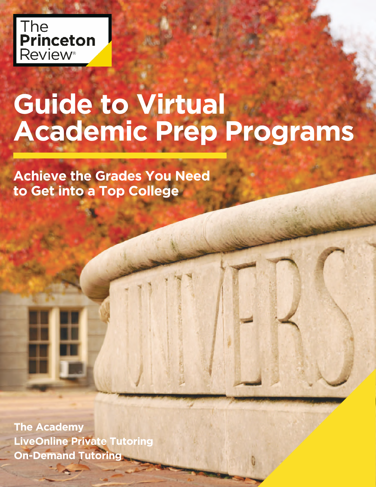

## **Guide to Virtual Academic Prep Programs**

**Achieve the Grades You Need to Get into a Top College**

**The Academy LiveOnline Private Tutoring On-Demand Tutoring**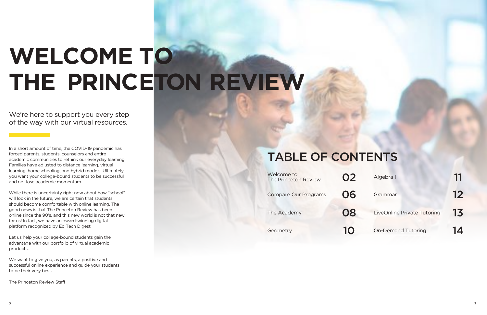We're here to support you every step of the way with our virtual resources.

In a short amount of time, the COVID-19 pandemic has forced parents, students, counselors and entire academic communities to rethink our everyday learning. Families have adjusted to distance learning, virtual learning, homeschooling, and hybrid models. Ultimately, you want your college-bound students to be successful and not lose academic momentum.

While there is uncertainty right now about how "school" will look in the future, we are certain that students should become comfortable with online learning. The good news is that The Princeton Review has been online since the 90's, and this new world is not that new for us! In fact, we have an award-winning digital platform recognized by Ed Tech Digest.

Let us help your college-bound students gain the advantage with our portfolio of virtual academic products.

We want to give you, as parents, a positive and successful online experience and guide your students to be their very best.

The Princeton Review Staff

# **WELCOME TO THE PRINCETON REVIEW**

### TABLE OF CONTENTS

| 02 |
|----|
| 06 |
| 08 |
| 10 |
|    |

| Welcome to<br>The Princeton Review | 02 | Algebra I                          |                   |
|------------------------------------|----|------------------------------------|-------------------|
| <b>Compare Our Programs</b>        | 06 | Grammar                            | $12 \overline{ }$ |
| The Academy                        | 08 | <b>LiveOnline Private Tutoring</b> | 13                |
| Geometry                           | 10 | <b>On-Demand Tutoring</b>          | 14                |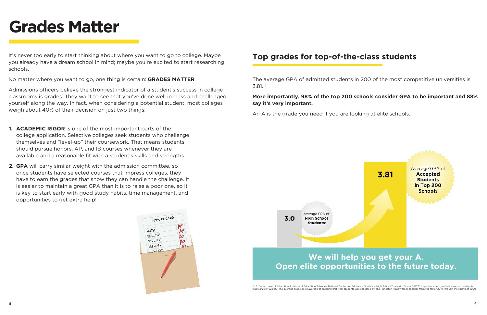## **Grades Matter**

It's never too early to start thinking about where you want to go to college. Maybe you already have a dream school in mind; maybe you're excited to start researching schools.

No matter where you want to go, one thing is certain: **GRADES MATTER**.

Admissions officers believe the strongest indicator of a student's success in college classrooms is grades. They want to see that you've done well in class and challenged yourself along the way. In fact, when considering a potential student, most colleges weigh about 40% of their decision on just two things:

> †U.S. Department of Education, Institute of Education Sciences, National Center for Education Statistics, High School Transcript Study (HSTS) https://nces.ed.gov/nationsreportcard/pdf/ studies/2011462.pdf. ‡The average grade point average of entering first-year students was collected by The Princeton Review from colleges from the fall of 2019 through the spring of 2020.

- **1. ACADEMIC RIGOR** is one of the most important parts of the college application. Selective colleges seek students who challenge themselves and "level-up" their coursework. That means students should pursue honors, AP, and IB courses whenever they are available and a reasonable fit with a student's skills and strengths.
- **2. GPA** will carry similar weight with the admission committee, so once students have selected courses that impress colleges, they have to earn the grades that show they can handle the challenge. It is easier to maintain a great GPA than it is to raise a poor one, so it is key to start early with good study habits, time management, and opportunities to get extra help!



### **We will help you get your A. Open elite opportunities to the future today.**

The average GPA of admitted students in 200 of the most competitive universities is 3.81. †

#### **More importantly, 98% of the top 200 schools consider GPA to be important and 88%**



**say it's very important.**

An A is the grade you need if you are looking at elite schools.



### **Top grades for top-of-the-class students**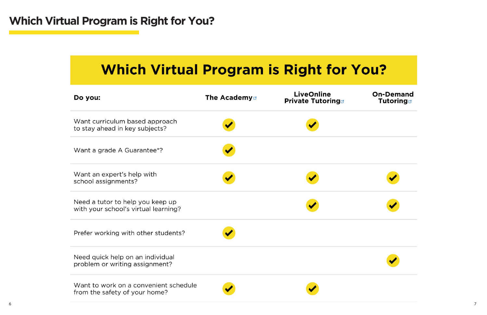### **Which Virtual Program is Right for You?**

| Do you:                                                                  | The Academy <sub>a</sub> | <b>LiveOnline</b><br><b>Private Tutoring</b> |
|--------------------------------------------------------------------------|--------------------------|----------------------------------------------|
| Want curriculum based approach<br>to stay ahead in key subjects?         |                          |                                              |
| Want a grade A Guarantee*?                                               |                          |                                              |
| Want an expert's help with<br>school assignments?                        |                          |                                              |
| Need a tutor to help you keep up<br>with your school's virtual learning? |                          |                                              |
| Prefer working with other students?                                      |                          |                                              |
| Need quick help on an individual<br>problem or writing assignment?       |                          |                                              |
| Want to work on a convenient schedule                                    |                          |                                              |



#### **On-Demand Tutoring**



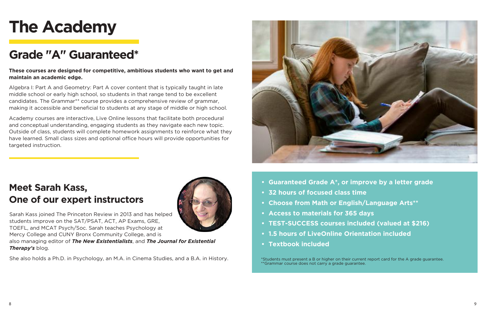## **The Academy**

### **Grade "A" Guaranteed\***

#### **These courses are designed for competitive, ambitious students who want to get and maintain an academic edge.**

Algebra I: Part A and Geometry: Part A cover content that is typically taught in late middle school or early high school, so students in that range tend to be excellent candidates. The Grammar\*\* course provides a comprehensive review of grammar, making it accessible and beneficial to students at any stage of middle or high school.

Academy courses are interactive, Live Online lessons that facilitate both procedural and conceptual understanding, engaging students as they navigate each new topic. Outside of class, students will complete homework assignments to reinforce what they have learned. Small class sizes and optional office hours will provide opportunities for targeted instruction.

Sarah Kass joined The Princeton Review in 2013 and has helped students improve on the SAT/PSAT, ACT, AP Exams, GRE, TOEFL, and MCAT Psych/Soc. Sarah teaches Psychology at Mercy College and CUNY Bronx Community College, and is also managing editor of *The New Existentialists*, and *The Journal for Existential Therapy's* blog.

She also holds a Ph.D. in Psychology, an M.A. in Cinema Studies, and a B.A. in History.



### **Meet Sarah Kass, One of our expert instructors**

- **• Guaranteed Grade A\*, or improve by a letter grade**
- **• 32 hours of focused class time**
- **• Choose from Math or English/Language Arts\*\***
- **• Access to materials for 365 days**
- **• TEST-SUCCESS courses included (valued at \$216)**
- **• 1.5 hours of LiveOnline Orientation included**
- **• Textbook included**

\*Students must present a B or higher on their current report card for the A grade guarantee. \*\*Grammar course does not carry a grade guarantee.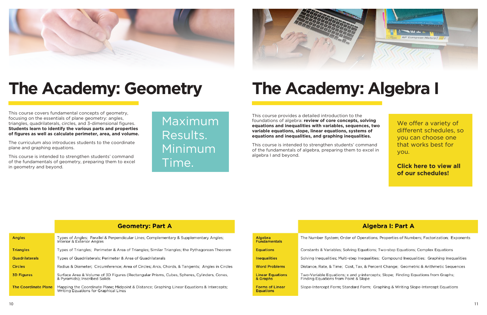## **The Academy: Algebra I**

This course provides a detailed introduction to the foundations of algebra: **review of core concepts, solving equations and inequalities with variables, sequences, two variable equations, slope, linear equations, systems of equations and inequalities, and graphing inequalities.**

This course is intended to strengthen students' command of the fundamentals of algebra, preparing them to excel in algebra I and beyond.

|                             | <b>Geometry: Part A</b>                                                                                                             |                                            |                                                                 |
|-----------------------------|-------------------------------------------------------------------------------------------------------------------------------------|--------------------------------------------|-----------------------------------------------------------------|
| <b>Angles</b>               | Types of Angles; Parallel & Perpendicular Lines; Complementary & Supplementary Angles;<br>Interior & Exterior Angles                | <b>Algebra</b><br><b>Fundamentals</b>      | The Number System; Order of (                                   |
| <b>Triangles</b>            | Types of Triangles; Perimeter & Area of Triangles; Similar Triangles; the Pythagorean Theorem                                       | <b>Equations</b>                           | Constants & Variables; Solving                                  |
| <b>Quadrilaterals</b>       | Types of Quadrilaterals; Perimeter & Area of Quadrilaterals                                                                         | <b>Inequalities</b>                        | Solving Inequalities; Multi-step                                |
| <b>Circles</b>              | Radius & Diameter; Circumference; Area of Circles; Arcs, Chords, & Tangents; Angles in Circles                                      | <b>Word Problems</b>                       | Distance, Rate, & Time; Cost, T                                 |
| <b>3D Figures</b>           | Surface Area & Volume of 3D Figures (Rectangular Prisms, Cubes, Spheres, Cylinders, Cones,<br>& Pyramids): Inscribed Solids         | <b>Linear Equations</b><br>& Graphs        | Two-Variable Equations; x and<br>Finding Equations from Point & |
| <b>The Coordinate Plane</b> | Mapping the Coordinate Plane; Midpoint & Distance; Graphing Linear Equations & Intercepts;<br>Writing Equations for Graphical Lines | <b>Forms of Linear</b><br><b>Equations</b> | Slope-Intercept Form; Standard                                  |

We offer a variety of [different schedules, so](https://www.princetonreview.com/k12/academic-guarantee?ceid=academic-leaflet-11)  you can choose one that works best for you.

#### **Click here to view all of our schedules!**

#### Algebra I: Part A

Operations; Properties of Numbers; Factorization; Exponents

- Equations; Two-step Equations; Complex Equations
- Inequalities; Compound Inequalities; Graphing Inequalities
- ax, & Percent Change; Geometric & Arithmetic Sequences
- y-intercepts; Slope; Finding Equations from Graphs; Slope
- d Form; Graphing & Writing Slope-Intercept Equations





### **The Academy: Geometry**

This course covers fundamental concepts of geometry, focusing on the essentials of plane geometry: angles, triangles, quadrilaterals, circles, and 3-dimensional figures. **Students learn to identify the various parts and properties of figures as well as calculate perimeter, area, and volume.**

The curriculum also introduces students to the coordinate plane and graphing equations.

This course is intended to strengthen students' command of the fundamentals of geometry, preparing them to excel in geometry and beyond.

Maximum Results. Minimum Time.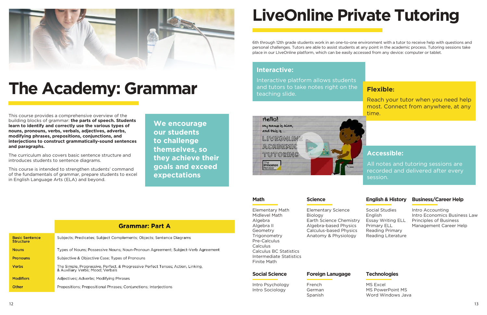## **LiveOnline Private Tutoring**

6th through 12th grade students work in an one-to-one environment with a tutor to receive help with questions and personal challenges. Tutors are able to assist students at any point in the academic process. Tutoring sessions take place in our LIveOnline platform, which can be easily accessed from any device: computer or tablet.

#### **Math**

Elementary Math Midlevel Math Algebra Algebra II Geometry **Trigonometry** Pre-Calculus Calculus Calculus BC Statistics Intermediate Statistics Finite Math

#### **Social Science**

Intro Psychology Intro Sociology

#### **Science**

Elementary Science Biology Earth Science Chemistry Algebra-based Physics Calculus-based Physics Anatomy & Physiology

|                               | <b>Grammar: Part A</b>                                                                                               |
|-------------------------------|----------------------------------------------------------------------------------------------------------------------|
| <b>Sentence</b><br><b>ure</b> | Subjects; Predicates; Subject Complements; Objects; Sentence Diagrams                                                |
|                               | Types of Nouns; Possessive Nouns; Noun-Pronoun Agreement; Subject-Verb Agreement                                     |
| uns                           | Subjective & Objective Case; Types of Pronouns                                                                       |
|                               | The Simple, Progressive, Perfect, & Progressive Perfect Tenses; Action, Linking,<br>& Auxiliary Verbs; Mood; Verbals |

Adjectives; Adverbs; Modifying Phrases **Modifiers** 

Prepositions; Prepositional Phrases; Conjunctions; Interjections

**Basic Struct** 

Noun:

Prono

Verbs

Other

| udemuc        |  |  |
|---------------|--|--|
| <b>FORING</b> |  |  |
| on            |  |  |
|               |  |  |
|               |  |  |
|               |  |  |

#### **Foreign Lanugage**

#### French German Spanish

#### **Technologies**

MS Excel MS PowerPoint MS Word Windows Java

#### **English & History**

Social Studies English Essay Writing ELL Primary ELL Reading Primary Reading Literature

#### **Business/Career Help**

Intro Accounting Intro Economics Business Law Principles of Business Management Career Help

#### **Interactive:**

Interactive platform allows students and tutors to take notes right on the teaching slide.



#### **Flexible:**

Reach your tutor when you need help most. Connect from anywhere, at any time.



#### **Accessible:**

All notes and tutoring sessions are recorded and delivered after every session.



### **The Academy: Grammar**

This course provides a comprehensive overview of the building blocks of grammar: **the parts of speech. Students learn to identify and correctly use the various types of nouns, pronouns, verbs, verbals, adjectives, adverbs, modifying phrases, prepositions, conjunctions, and interjections to construct grammatically-sound sentences and paragraphs.**

The curriculum also covers basic sentence structure and introduces students to sentence diagrams.

This course is intended to strengthen students' command of the fundamentals of grammar, prepare students to excel in English Language Arts (ELA) and beyond.

**We encourage our students to challenge themselves, so they achieve their goals and exceed expectations**